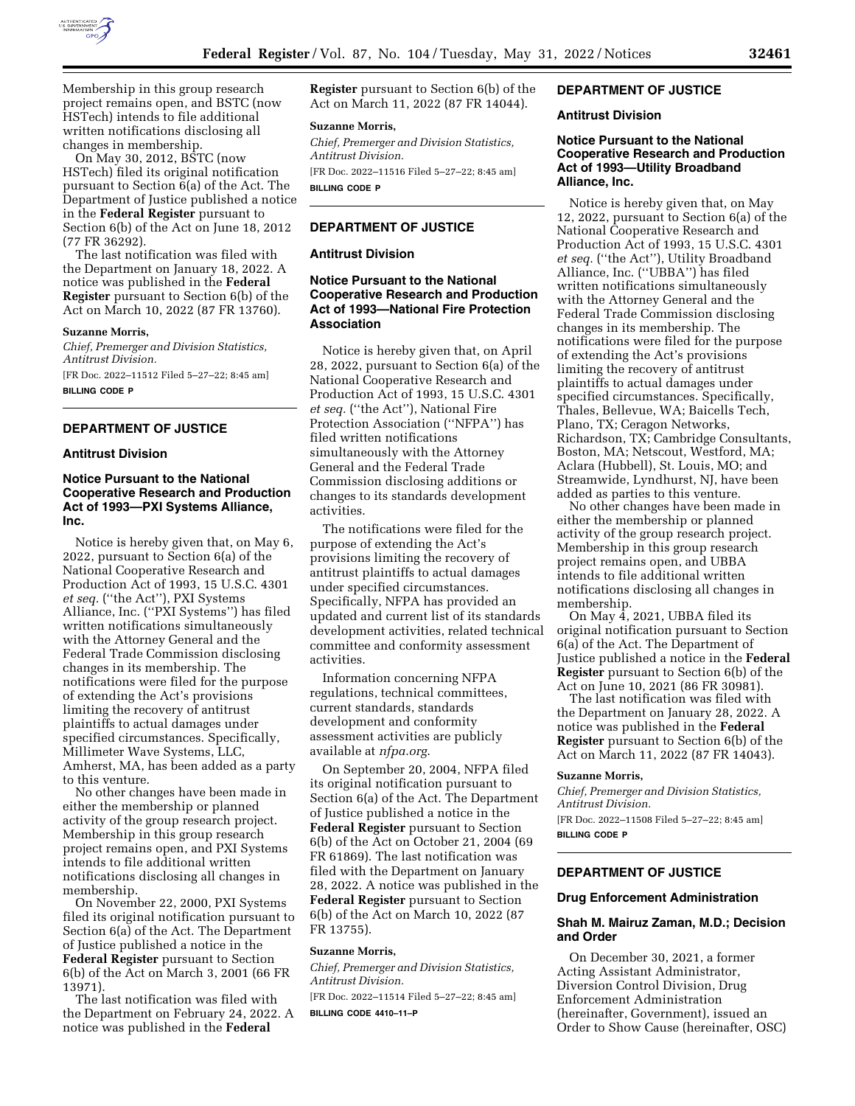

Membership in this group research project remains open, and BSTC (now HSTech) intends to file additional written notifications disclosing all changes in membership.

On May 30, 2012, BSTC (now HSTech) filed its original notification pursuant to Section 6(a) of the Act. The Department of Justice published a notice in the **Federal Register** pursuant to Section 6(b) of the Act on June 18, 2012 (77 FR 36292).

The last notification was filed with the Department on January 18, 2022. A notice was published in the **Federal Register** pursuant to Section 6(b) of the Act on March 10, 2022 (87 FR 13760).

### **Suzanne Morris,**

*Chief, Premerger and Division Statistics, Antitrust Division.*  [FR Doc. 2022–11512 Filed 5–27–22; 8:45 am] **BILLING CODE P** 

## **DEPARTMENT OF JUSTICE**

## **Antitrust Division**

# **Notice Pursuant to the National Cooperative Research and Production Act of 1993—PXI Systems Alliance, Inc.**

Notice is hereby given that, on May 6, 2022, pursuant to Section 6(a) of the National Cooperative Research and Production Act of 1993, 15 U.S.C. 4301 *et seq.* (''the Act''), PXI Systems Alliance, Inc. (''PXI Systems'') has filed written notifications simultaneously with the Attorney General and the Federal Trade Commission disclosing changes in its membership. The notifications were filed for the purpose of extending the Act's provisions limiting the recovery of antitrust plaintiffs to actual damages under specified circumstances. Specifically, Millimeter Wave Systems, LLC, Amherst, MA, has been added as a party to this venture.

No other changes have been made in either the membership or planned activity of the group research project. Membership in this group research project remains open, and PXI Systems intends to file additional written notifications disclosing all changes in membership.

On November 22, 2000, PXI Systems filed its original notification pursuant to Section 6(a) of the Act. The Department of Justice published a notice in the **Federal Register** pursuant to Section 6(b) of the Act on March 3, 2001 (66 FR 13971).

The last notification was filed with the Department on February 24, 2022. A notice was published in the **Federal** 

**Register** pursuant to Section 6(b) of the Act on March 11, 2022 (87 FR 14044).

### **Suzanne Morris,**

*Chief, Premerger and Division Statistics, Antitrust Division.*  [FR Doc. 2022–11516 Filed 5–27–22; 8:45 am]

**BILLING CODE P** 

# **DEPARTMENT OF JUSTICE**

## **Antitrust Division**

# **Notice Pursuant to the National Cooperative Research and Production Act of 1993—National Fire Protection Association**

Notice is hereby given that, on April 28, 2022, pursuant to Section 6(a) of the National Cooperative Research and Production Act of 1993, 15 U.S.C. 4301 *et seq.* (''the Act''), National Fire Protection Association (''NFPA'') has filed written notifications simultaneously with the Attorney General and the Federal Trade Commission disclosing additions or changes to its standards development activities.

The notifications were filed for the purpose of extending the Act's provisions limiting the recovery of antitrust plaintiffs to actual damages under specified circumstances. Specifically, NFPA has provided an updated and current list of its standards development activities, related technical committee and conformity assessment activities.

Information concerning NFPA regulations, technical committees, current standards, standards development and conformity assessment activities are publicly available at *nfpa.org*.

On September 20, 2004, NFPA filed its original notification pursuant to Section 6(a) of the Act. The Department of Justice published a notice in the **Federal Register** pursuant to Section 6(b) of the Act on October 21, 2004 (69 FR 61869). The last notification was filed with the Department on January 28, 2022. A notice was published in the **Federal Register** pursuant to Section 6(b) of the Act on March 10, 2022 (87 FR 13755).

# **Suzanne Morris,**

*Chief, Premerger and Division Statistics, Antitrust Division.* 

[FR Doc. 2022–11514 Filed 5–27–22; 8:45 am]

**BILLING CODE 4410–11–P** 

# **DEPARTMENT OF JUSTICE**

# **Antitrust Division**

## **Notice Pursuant to the National Cooperative Research and Production Act of 1993—Utility Broadband Alliance, Inc.**

Notice is hereby given that, on May 12, 2022, pursuant to Section 6(a) of the National Cooperative Research and Production Act of 1993, 15 U.S.C. 4301 *et seq.* (''the Act''), Utility Broadband Alliance, Inc. (''UBBA'') has filed written notifications simultaneously with the Attorney General and the Federal Trade Commission disclosing changes in its membership. The notifications were filed for the purpose of extending the Act's provisions limiting the recovery of antitrust plaintiffs to actual damages under specified circumstances. Specifically, Thales, Bellevue, WA; Baicells Tech, Plano, TX; Ceragon Networks, Richardson, TX; Cambridge Consultants, Boston, MA; Netscout, Westford, MA; Aclara (Hubbell), St. Louis, MO; and Streamwide, Lyndhurst, NJ, have been added as parties to this venture.

No other changes have been made in either the membership or planned activity of the group research project. Membership in this group research project remains open, and UBBA intends to file additional written notifications disclosing all changes in membership.

On May 4, 2021, UBBA filed its original notification pursuant to Section 6(a) of the Act. The Department of Justice published a notice in the **Federal Register** pursuant to Section 6(b) of the Act on June 10, 2021 (86 FR 30981).

The last notification was filed with the Department on January 28, 2022. A notice was published in the **Federal Register** pursuant to Section 6(b) of the Act on March 11, 2022 (87 FR 14043).

#### **Suzanne Morris,**

*Chief, Premerger and Division Statistics, Antitrust Division.* 

[FR Doc. 2022–11508 Filed 5–27–22; 8:45 am] **BILLING CODE P** 

# **DEPARTMENT OF JUSTICE**

**Drug Enforcement Administration** 

### **Shah M. Mairuz Zaman, M.D.; Decision and Order**

On December 30, 2021, a former Acting Assistant Administrator, Diversion Control Division, Drug Enforcement Administration (hereinafter, Government), issued an Order to Show Cause (hereinafter, OSC)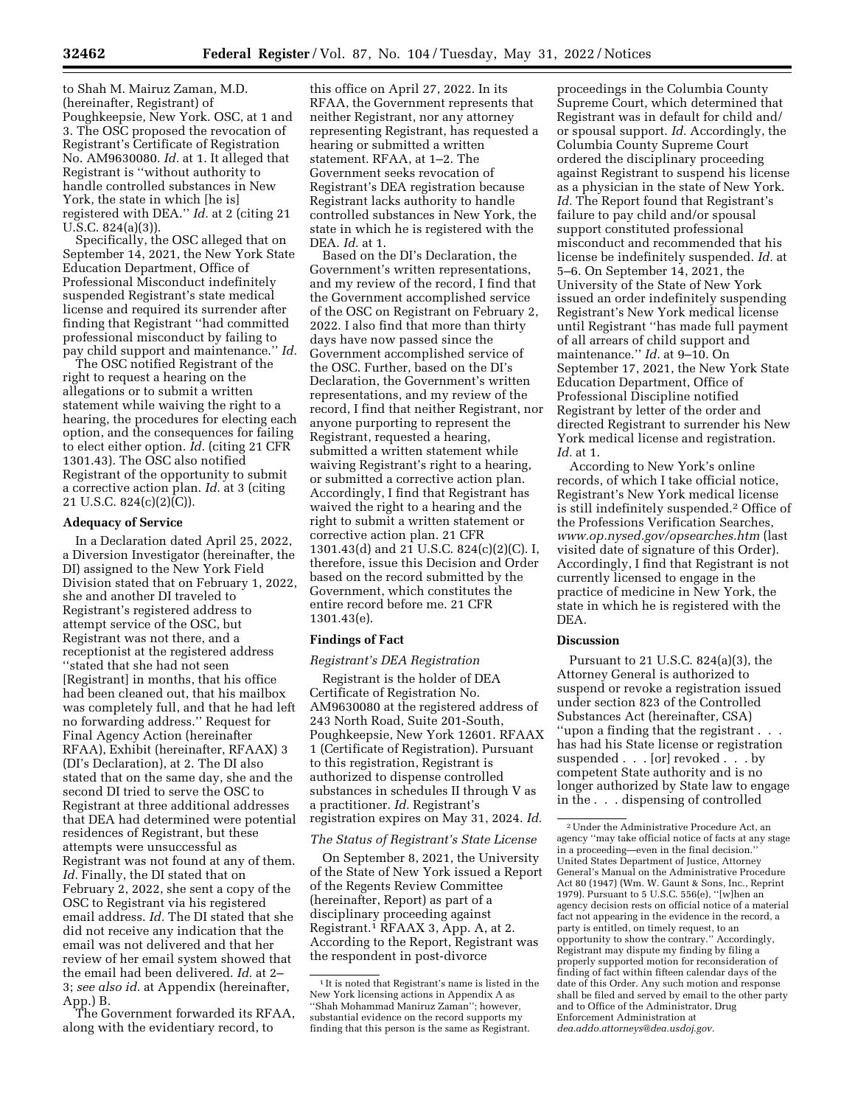to Shah M. Mairuz Zaman, M.D. (hereinafter, Registrant) of Poughkeepsie, New York. OSC, at 1 and 3. The OSC proposed the revocation of Registrant's Certificate of Registration No. AM9630080. *Id.* at 1. It alleged that Registrant is ''without authority to handle controlled substances in New York, the state in which [he is] registered with DEA.'' *Id.* at 2 (citing 21 U.S.C. 824(a)(3)).

Specifically, the OSC alleged that on September 14, 2021, the New York State Education Department, Office of Professional Misconduct indefinitely suspended Registrant's state medical license and required its surrender after finding that Registrant ''had committed professional misconduct by failing to pay child support and maintenance.'' *Id.* 

The OSC notified Registrant of the right to request a hearing on the allegations or to submit a written statement while waiving the right to a hearing, the procedures for electing each option, and the consequences for failing to elect either option. *Id.* (citing 21 CFR 1301.43). The OSC also notified Registrant of the opportunity to submit a corrective action plan. *Id.* at 3 (citing 21 U.S.C.  $824(c)(2)(C)$ .

### **Adequacy of Service**

In a Declaration dated April 25, 2022, a Diversion Investigator (hereinafter, the DI) assigned to the New York Field Division stated that on February 1, 2022, she and another DI traveled to Registrant's registered address to attempt service of the OSC, but Registrant was not there, and a receptionist at the registered address ''stated that she had not seen [Registrant] in months, that his office had been cleaned out, that his mailbox was completely full, and that he had left no forwarding address.'' Request for Final Agency Action (hereinafter RFAA), Exhibit (hereinafter, RFAAX) 3 (DI's Declaration), at 2. The DI also stated that on the same day, she and the second DI tried to serve the OSC to Registrant at three additional addresses that DEA had determined were potential residences of Registrant, but these attempts were unsuccessful as Registrant was not found at any of them. *Id.* Finally, the DI stated that on February 2, 2022, she sent a copy of the OSC to Registrant via his registered email address. *Id.* The DI stated that she did not receive any indication that the email was not delivered and that her review of her email system showed that the email had been delivered. *Id.* at 2– 3; *see also id.* at Appendix (hereinafter, App.) B.

The Government forwarded its RFAA, along with the evidentiary record, to

this office on April 27, 2022. In its RFAA, the Government represents that neither Registrant, nor any attorney representing Registrant, has requested a hearing or submitted a written statement. RFAA, at 1–2. The Government seeks revocation of Registrant's DEA registration because Registrant lacks authority to handle controlled substances in New York, the state in which he is registered with the DEA. *Id.* at 1.

Based on the DI's Declaration, the Government's written representations, and my review of the record, I find that the Government accomplished service of the OSC on Registrant on February 2, 2022. I also find that more than thirty days have now passed since the Government accomplished service of the OSC. Further, based on the DI's Declaration, the Government's written representations, and my review of the record, I find that neither Registrant, nor anyone purporting to represent the Registrant, requested a hearing, submitted a written statement while waiving Registrant's right to a hearing, or submitted a corrective action plan. Accordingly, I find that Registrant has waived the right to a hearing and the right to submit a written statement or corrective action plan. 21 CFR 1301.43(d) and 21 U.S.C. 824(c)(2)(C). I, therefore, issue this Decision and Order based on the record submitted by the Government, which constitutes the entire record before me. 21 CFR 1301.43(e).

## **Findings of Fact**

## *Registrant's DEA Registration*

Registrant is the holder of DEA Certificate of Registration No. AM9630080 at the registered address of 243 North Road, Suite 201-South, Poughkeepsie, New York 12601. RFAAX 1 (Certificate of Registration). Pursuant to this registration, Registrant is authorized to dispense controlled substances in schedules II through V as a practitioner. *Id.* Registrant's registration expires on May 31, 2024. *Id.* 

### *The Status of Registrant's State License*

On September 8, 2021, the University of the State of New York issued a Report of the Regents Review Committee (hereinafter, Report) as part of a disciplinary proceeding against Registrant.1 RFAAX 3, App. A, at 2. According to the Report, Registrant was the respondent in post-divorce

proceedings in the Columbia County Supreme Court, which determined that Registrant was in default for child and/ or spousal support. *Id.* Accordingly, the Columbia County Supreme Court ordered the disciplinary proceeding against Registrant to suspend his license as a physician in the state of New York. *Id.* The Report found that Registrant's failure to pay child and/or spousal support constituted professional misconduct and recommended that his license be indefinitely suspended. *Id.* at 5–6. On September 14, 2021, the University of the State of New York issued an order indefinitely suspending Registrant's New York medical license until Registrant ''has made full payment of all arrears of child support and maintenance.'' *Id.* at 9–10. On September 17, 2021, the New York State Education Department, Office of Professional Discipline notified Registrant by letter of the order and directed Registrant to surrender his New York medical license and registration. *Id.* at 1.

According to New York's online records, of which I take official notice, Registrant's New York medical license is still indefinitely suspended.2 Office of the Professions Verification Searches, *[www.op.nysed.gov/opsearches.htm](http://www.op.nysed.gov/opsearches.htm)* (last visited date of signature of this Order). Accordingly, I find that Registrant is not currently licensed to engage in the practice of medicine in New York, the state in which he is registered with the DEA.

## **Discussion**

Pursuant to 21 U.S.C. 824(a)(3), the Attorney General is authorized to suspend or revoke a registration issued under section 823 of the Controlled Substances Act (hereinafter, CSA) ''upon a finding that the registrant . . . has had his State license or registration suspended . . . [or] revoked . . . by competent State authority and is no longer authorized by State law to engage in the . . . dispensing of controlled

<sup>1</sup> It is noted that Registrant's name is listed in the New York licensing actions in Appendix A as ''Shah Mohammad Maniruz Zaman''; however, substantial evidence on the record supports my finding that this person is the same as Registrant.

<sup>2</sup>Under the Administrative Procedure Act, an agency ''may take official notice of facts at any stage in a proceeding—even in the final decision.'' United States Department of Justice, Attorney General's Manual on the Administrative Procedure Act 80 (1947) (Wm. W. Gaunt & Sons, Inc., Reprint 1979). Pursuant to 5 U.S.C. 556(e), ''[w]hen an agency decision rests on official notice of a material fact not appearing in the evidence in the record, a party is entitled, on timely request, to an opportunity to show the contrary.'' Accordingly, Registrant may dispute my finding by filing a properly supported motion for reconsideration of finding of fact within fifteen calendar days of the date of this Order. Any such motion and response shall be filed and served by email to the other party and to Office of the Administrator, Drug Enforcement Administration at *[dea.addo.attorneys@dea.usdoj.gov.](mailto:dea.addo.attorneys@dea.usdoj.gov)*